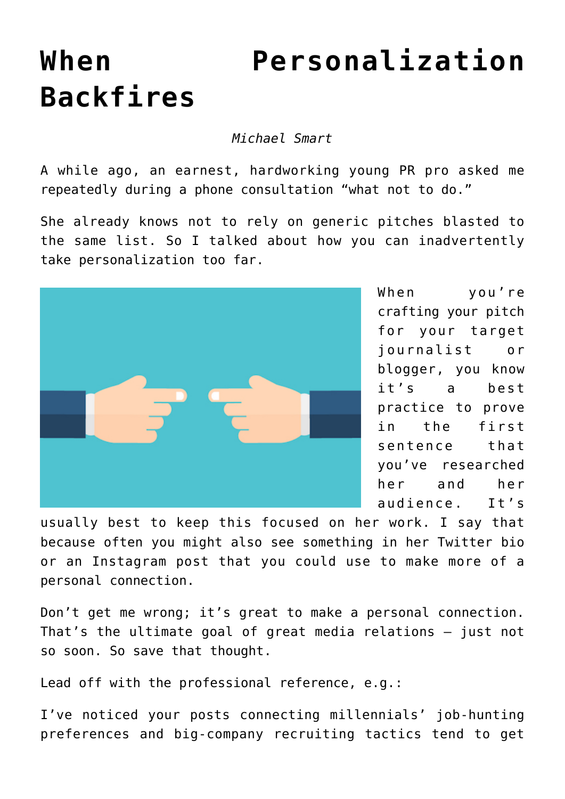## **[When Personalization](https://www.commpro.biz/when-personalization-backfires/) [Backfires](https://www.commpro.biz/when-personalization-backfires/)**

*Michael Smart*

A while ago, an earnest, hardworking young [PR](https://www.commpro.biz/prsa/prsa-learning/) pro asked me repeatedly during a phone consultation "what not to do."

She already knows not to rely on generic pitches blasted to the same list. So I talked about how you can inadvertently take personalization too far.



When you're crafting your pitch for your target journalist or blogger, you know it's a best practice to prove in the first sentence that you've researched her and her audience. It's

usually best to keep this focused on her work. I say that because often you might also see something in her Twitter bio or an Instagram post that you could use to make more of a personal connection.

Don't get me wrong; it's great to make a personal connection. That's the ultimate goal of great media relations — just not so soon. So save that thought.

Lead off with the professional reference, e.g.:

I've noticed your posts connecting millennials' job-hunting preferences and big-company recruiting tactics tend to get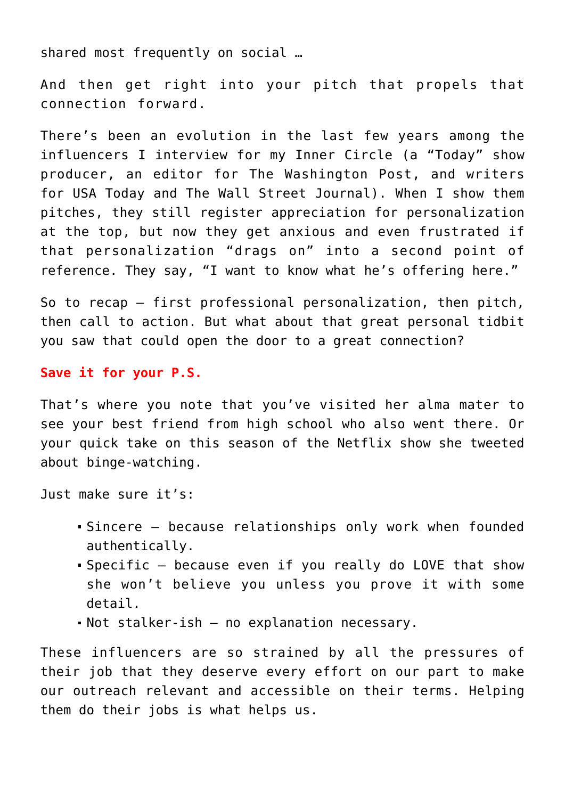shared most frequently on social …

And then get right into your pitch that propels that connection forward.

There's been an evolution in the last few years among the influencers I interview for my [Inner Circle](https://michaelsmartpr.com/the-inner-circle/) (a "Today" show producer, an editor for The Washington Post, and writers for USA Today and The Wall Street Journal). When I show them pitches, they still register appreciation for personalization at the top, but now they get anxious and even frustrated if that personalization "drags on" into a second point of reference. They say, "I want to know what he's offering here."

So to recap — first professional personalization, then pitch, then call to action. But what about that great personal tidbit you saw that could open the door to a great connection?

## **Save it for your P.S.**

That's where you note that you've visited her alma mater to see your best friend from high school who also went there. Or your quick take on this season of the Netflix show she tweeted about binge-watching.

Just make sure it's:

- Sincere because relationships only work when founded authentically.
- Specific because even if you really do LOVE that show she won't believe you unless you prove it with some detail.
- Not stalker-ish no explanation necessary.

These influencers are so strained by all the pressures of their job that they deserve every effort on our part to make our outreach relevant and accessible on their terms. Helping them do their jobs is what helps us.